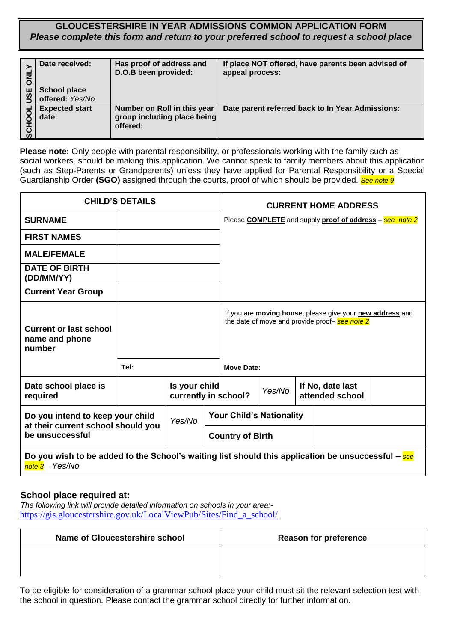**GLOUCESTERSHIRE IN YEAR ADMISSIONS COMMON APPLICATION FORM** *Please complete this form and return to your preferred school to request a school place*

| <u>u</u> | Date received:<br><b>School place</b><br>offered: Yes/No | Has proof of address and<br>D.O.B been provided:                       | If place NOT offered, have parents been advised of<br>appeal process: |
|----------|----------------------------------------------------------|------------------------------------------------------------------------|-----------------------------------------------------------------------|
|          | <b>Expected start</b><br>date:                           | Number on Roll in this year<br>group including place being<br>offered: | Date parent referred back to In Year Admissions:                      |

| <b>ATNO</b><br>USE | <b>School place</b><br>offered: Yes/No                                                                                                                                                                                                                                                                                                                                                                                                    | י יששא יש ישט ועם נאו ו<br>D.O.B been provided:                        |                                       | appeal process:                 |        |  | ii piacc NOT Uncrea, nave parents been auvised                                                              |  |
|--------------------|-------------------------------------------------------------------------------------------------------------------------------------------------------------------------------------------------------------------------------------------------------------------------------------------------------------------------------------------------------------------------------------------------------------------------------------------|------------------------------------------------------------------------|---------------------------------------|---------------------------------|--------|--|-------------------------------------------------------------------------------------------------------------|--|
| SCHOOL             | <b>Expected start</b><br>date:                                                                                                                                                                                                                                                                                                                                                                                                            | Number on Roll in this year<br>group including place being<br>offered: |                                       |                                 |        |  | Date parent referred back to In Year Admissions:                                                            |  |
|                    | Please note: Only people with parental responsibility, or professionals working with the family such as<br>social workers, should be making this application. We cannot speak to family members about this application<br>(such as Step-Parents or Grandparents) unless they have applied for Parental Responsibility or a Special<br>Guardianship Order (SGO) assigned through the courts, proof of which should be provided. See note 9 |                                                                        |                                       |                                 |        |  |                                                                                                             |  |
|                    |                                                                                                                                                                                                                                                                                                                                                                                                                                           | <b>CHILD'S DETAILS</b>                                                 |                                       |                                 |        |  | <b>CURRENT HOME ADDRESS</b>                                                                                 |  |
|                    | <b>SURNAME</b>                                                                                                                                                                                                                                                                                                                                                                                                                            |                                                                        |                                       |                                 |        |  | Please <b>COMPLETE</b> and supply <b>proof of address</b> – see note 2                                      |  |
|                    | <b>FIRST NAMES</b>                                                                                                                                                                                                                                                                                                                                                                                                                        |                                                                        |                                       |                                 |        |  |                                                                                                             |  |
|                    | <b>MALE/FEMALE</b>                                                                                                                                                                                                                                                                                                                                                                                                                        |                                                                        |                                       |                                 |        |  |                                                                                                             |  |
|                    | <b>DATE OF BIRTH</b><br>(DD/MM/YY)                                                                                                                                                                                                                                                                                                                                                                                                        |                                                                        |                                       |                                 |        |  |                                                                                                             |  |
|                    | <b>Current Year Group</b>                                                                                                                                                                                                                                                                                                                                                                                                                 |                                                                        |                                       |                                 |        |  |                                                                                                             |  |
|                    | <b>Current or last school</b><br>name and phone<br>number                                                                                                                                                                                                                                                                                                                                                                                 |                                                                        |                                       |                                 |        |  | If you are moving house, please give your new address and<br>the date of move and provide proof- see note 2 |  |
|                    |                                                                                                                                                                                                                                                                                                                                                                                                                                           | Tel:                                                                   |                                       | <b>Move Date:</b>               |        |  |                                                                                                             |  |
|                    | Date school place is<br>required                                                                                                                                                                                                                                                                                                                                                                                                          |                                                                        | Is your child<br>currently in school? |                                 | Yes/No |  | If No, date last<br>attended school                                                                         |  |
|                    | Do you intend to keep your child                                                                                                                                                                                                                                                                                                                                                                                                          |                                                                        | Yes/No                                | <b>Your Child's Nationality</b> |        |  |                                                                                                             |  |
|                    | at their current school should you<br>be unsuccessful                                                                                                                                                                                                                                                                                                                                                                                     |                                                                        |                                       | <b>Country of Birth</b>         |        |  |                                                                                                             |  |
|                    | Do you wish to be added to the School's waiting list should this application be unsuccessful $-$ see<br>note 3 - Yes/No                                                                                                                                                                                                                                                                                                                   |                                                                        |                                       |                                 |        |  |                                                                                                             |  |
|                    | School place required at:<br>The following link will provide detailed information on schools in your area:-<br>https://gis.gloucestershire.gov.uk/LocalViewPub/Sites/Find_a_school/                                                                                                                                                                                                                                                       |                                                                        |                                       |                                 |        |  |                                                                                                             |  |
|                    | <b>Name of Gloucestershire school</b>                                                                                                                                                                                                                                                                                                                                                                                                     |                                                                        |                                       |                                 |        |  | <b>Reason for preference</b>                                                                                |  |
|                    |                                                                                                                                                                                                                                                                                                                                                                                                                                           |                                                                        |                                       |                                 |        |  |                                                                                                             |  |
|                    | To be eligible for consideration of a grammar school place your child must sit the relevant selection test with<br>the school in question. Please contact the grammar school directly for further information.                                                                                                                                                                                                                            |                                                                        |                                       |                                 |        |  |                                                                                                             |  |

## **School place required at:**

| Name of Gloucestershire school | <b>Reason for preference</b> |
|--------------------------------|------------------------------|
|                                |                              |
|                                |                              |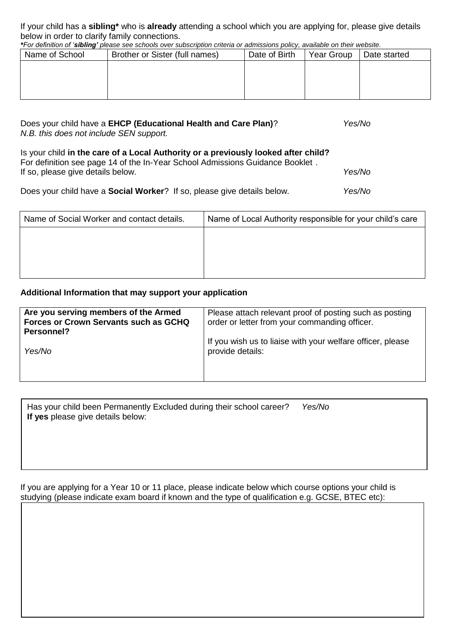If your child has a **sibling\*** who is **already** attending a school which you are applying for, please give details below in order to clarify family connections.

*\*For definition of 'sibling' please see schools over subscription criteria or admissions policy, available on their website.*

| Name of School | Brother or Sister (full names) | Date of Birth | Year Group | Date started |
|----------------|--------------------------------|---------------|------------|--------------|
|                |                                |               |            |              |
|                |                                |               |            |              |
|                |                                |               |            |              |
|                |                                |               |            |              |

| Does your child have a EHCP (Educational Health and Care Plan)?<br>N.B. this does not include SEN support.                                                                                               | Yes/No |
|----------------------------------------------------------------------------------------------------------------------------------------------------------------------------------------------------------|--------|
| Is your child in the care of a Local Authority or a previously looked after child?<br>For definition see page 14 of the In-Year School Admissions Guidance Booklet.<br>If so, please give details below. | Yes/No |
| Does your child have a <b>Social Worker</b> ? If so, please give details below.                                                                                                                          | Yes/No |

| Name of Social Worker and contact details. | Name of Local Authority responsible for your child's care |
|--------------------------------------------|-----------------------------------------------------------|
|                                            |                                                           |
|                                            |                                                           |
|                                            |                                                           |
|                                            |                                                           |

## **Additional Information that may support your application**

| Are you serving members of the Armed  | Please attach relevant proof of posting such as posting    |
|---------------------------------------|------------------------------------------------------------|
| Forces or Crown Servants such as GCHQ | order or letter from your commanding officer.              |
| <b>Personnel?</b>                     | If you wish us to liaise with your welfare officer, please |
| Yes/No                                | provide details:                                           |
|                                       |                                                            |

| Has your child been Permanently Excluded during their school career? | Yes/No |
|----------------------------------------------------------------------|--------|
| If yes please give details below:                                    |        |

If you are applying for a Year 10 or 11 place, please indicate below which course options your child is studying (please indicate exam board if known and the type of qualification e.g. GCSE, BTEC etc):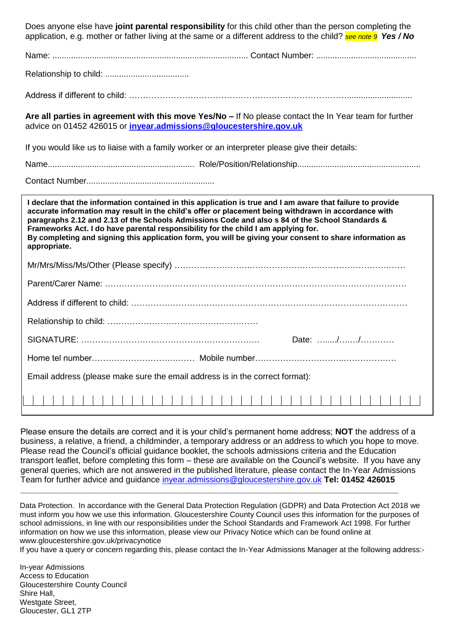| Does anyone else have joint parental responsibility for this child other than the person completing the<br>application, e.g. mother or father living at the same or a different address to the child? see note 9 Yes / No                                                                                                                                                                                                 |
|---------------------------------------------------------------------------------------------------------------------------------------------------------------------------------------------------------------------------------------------------------------------------------------------------------------------------------------------------------------------------------------------------------------------------|
|                                                                                                                                                                                                                                                                                                                                                                                                                           |
|                                                                                                                                                                                                                                                                                                                                                                                                                           |
|                                                                                                                                                                                                                                                                                                                                                                                                                           |
| Are all parties in agreement with this move Yes/No - If No please contact the In Year team for further<br>advice on 01452 426015 or invear.admissions@gloucestershire.gov.uk                                                                                                                                                                                                                                              |
| If you would like us to liaise with a family worker or an interpreter please give their details:                                                                                                                                                                                                                                                                                                                          |
|                                                                                                                                                                                                                                                                                                                                                                                                                           |
|                                                                                                                                                                                                                                                                                                                                                                                                                           |
| I declare that the information contained in this application is true and I am aware that failure to provide                                                                                                                                                                                                                                                                                                               |
| accurate information may result in the child's offer or placement being withdrawn in accordance with<br>paragraphs 2.12 and 2.13 of the Schools Admissions Code and also s 84 of the School Standards &<br>Frameworks Act. I do have parental responsibility for the child I am applying for.<br>By completing and signing this application form, you will be giving your consent to share information as<br>appropriate. |
|                                                                                                                                                                                                                                                                                                                                                                                                                           |
|                                                                                                                                                                                                                                                                                                                                                                                                                           |
|                                                                                                                                                                                                                                                                                                                                                                                                                           |
|                                                                                                                                                                                                                                                                                                                                                                                                                           |
| Date: //                                                                                                                                                                                                                                                                                                                                                                                                                  |
|                                                                                                                                                                                                                                                                                                                                                                                                                           |
| Email address (please make sure the email address is in the correct format):                                                                                                                                                                                                                                                                                                                                              |

Please ensure the details are correct and it is your child's permanent home address; **NOT** the address of a business, a relative, a friend, a childminder, a temporary address or an address to which you hope to move. Please read the Council's official guidance booklet, the schools admissions criteria and the Education transport leaflet, before completing this form – these are available on the Council's website. If you have any general queries, which are not answered in the published literature, please contact the In-Year Admissions Team for further advice and guidance [inyear.admissions@gloucestershire.gov.uk](mailto:inyear.admissions@gloucestershire.gov.uk) **Tel: 01452 426015**

Data Protection. In accordance with the General Data Protection Regulation (GDPR) and Data Protection Act 2018 we must inform you how we use this information. Gloucestershire County Council uses this information for the purposes of school admissions, in line with our responsibilities under the School Standards and Framework Act 1998. For further information on how we use this information, please view our Privacy Notice which can be found online at www.gloucestershire.gov.uk/privacynotice

**\_\_\_\_\_\_\_\_\_\_\_\_\_\_\_\_\_\_\_\_\_\_\_\_\_\_\_\_\_\_\_\_\_\_\_\_\_\_\_\_\_\_\_\_\_\_\_\_\_\_\_\_\_\_\_\_\_\_\_\_\_\_\_\_\_\_\_\_\_\_\_\_\_\_\_\_\_\_\_\_\_**

If you have a query or concern regarding this, please contact the In-Year Admissions Manager at the following address:-

In-year Admissions Access to Education Gloucestershire County Council Shire Hall, Westgate Street, Gloucester, GL1 2TP